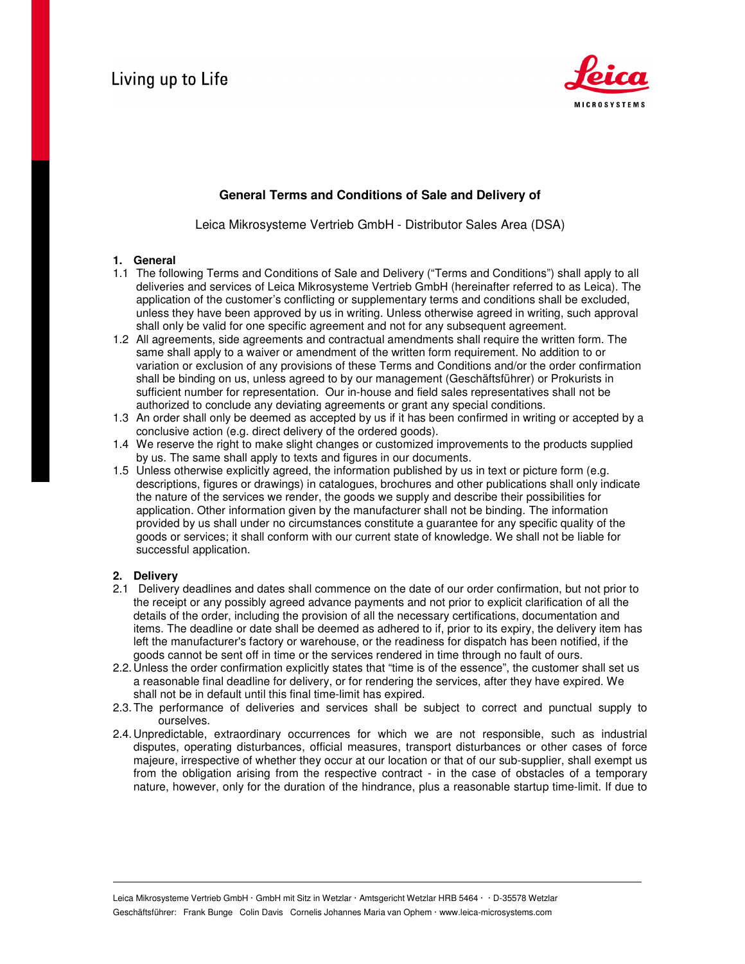

# **General Terms and Conditions of Sale and Delivery of**

Leica Mikrosysteme Vertrieb GmbH - Distributor Sales Area (DSA)

# **1. General**

- 1.1 The following Terms and Conditions of Sale and Delivery ("Terms and Conditions") shall apply to all deliveries and services of Leica Mikrosysteme Vertrieb GmbH (hereinafter referred to as Leica). The application of the customer's conflicting or supplementary terms and conditions shall be excluded, unless they have been approved by us in writing. Unless otherwise agreed in writing, such approval shall only be valid for one specific agreement and not for any subsequent agreement.
- 1.2 All agreements, side agreements and contractual amendments shall require the written form. The same shall apply to a waiver or amendment of the written form requirement. No addition to or variation or exclusion of any provisions of these Terms and Conditions and/or the order confirmation shall be binding on us, unless agreed to by our management (Geschäftsführer) or Prokurists in sufficient number for representation. Our in-house and field sales representatives shall not be authorized to conclude any deviating agreements or grant any special conditions.
- 1.3 An order shall only be deemed as accepted by us if it has been confirmed in writing or accepted by a conclusive action (e.g. direct delivery of the ordered goods).
- 1.4 We reserve the right to make slight changes or customized improvements to the products supplied by us. The same shall apply to texts and figures in our documents.
- 1.5 Unless otherwise explicitly agreed, the information published by us in text or picture form (e.g. descriptions, figures or drawings) in catalogues, brochures and other publications shall only indicate the nature of the services we render, the goods we supply and describe their possibilities for application. Other information given by the manufacturer shall not be binding. The information provided by us shall under no circumstances constitute a guarantee for any specific quality of the goods or services; it shall conform with our current state of knowledge. We shall not be liable for successful application.

# **2. Delivery**

- 2.1 Delivery deadlines and dates shall commence on the date of our order confirmation, but not prior to the receipt or any possibly agreed advance payments and not prior to explicit clarification of all the details of the order, including the provision of all the necessary certifications, documentation and items. The deadline or date shall be deemed as adhered to if, prior to its expiry, the delivery item has left the manufacturer's factory or warehouse, or the readiness for dispatch has been notified, if the goods cannot be sent off in time or the services rendered in time through no fault of ours.
- 2.2. Unless the order confirmation explicitly states that "time is of the essence", the customer shall set us a reasonable final deadline for delivery, or for rendering the services, after they have expired. We shall not be in default until this final time-limit has expired.
- 2.3. The performance of deliveries and services shall be subject to correct and punctual supply to ourselves.
- 2.4. Unpredictable, extraordinary occurrences for which we are not responsible, such as industrial disputes, operating disturbances, official measures, transport disturbances or other cases of force majeure, irrespective of whether they occur at our location or that of our sub-supplier, shall exempt us from the obligation arising from the respective contract - in the case of obstacles of a temporary nature, however, only for the duration of the hindrance, plus a reasonable startup time-limit. If due to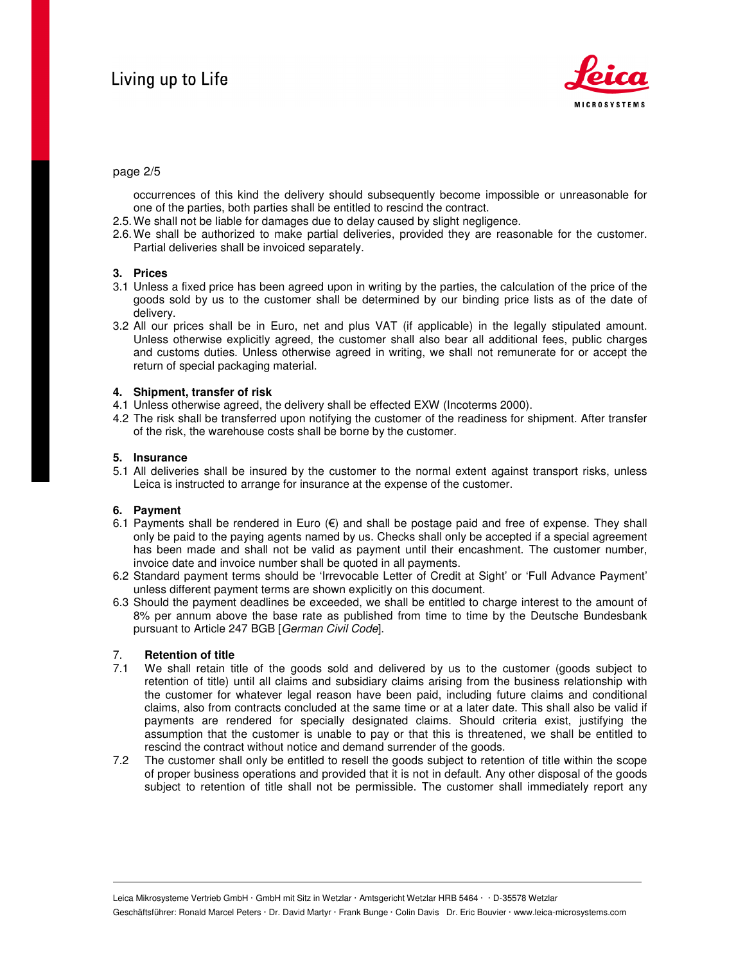

### page 2/5

occurrences of this kind the delivery should subsequently become impossible or unreasonable for one of the parties, both parties shall be entitled to rescind the contract.

- 2.5. We shall not be liable for damages due to delay caused by slight negligence.
- 2.6. We shall be authorized to make partial deliveries, provided they are reasonable for the customer. Partial deliveries shall be invoiced separately.

### **3. Prices**

- 3.1 Unless a fixed price has been agreed upon in writing by the parties, the calculation of the price of the goods sold by us to the customer shall be determined by our binding price lists as of the date of delivery.
- 3.2 All our prices shall be in Euro, net and plus VAT (if applicable) in the legally stipulated amount. Unless otherwise explicitly agreed, the customer shall also bear all additional fees, public charges and customs duties. Unless otherwise agreed in writing, we shall not remunerate for or accept the return of special packaging material.

### **4. Shipment, transfer of risk**

- 4.1 Unless otherwise agreed, the delivery shall be effected EXW (Incoterms 2000).
- 4.2 The risk shall be transferred upon notifying the customer of the readiness for shipment. After transfer of the risk, the warehouse costs shall be borne by the customer.

### **5. Insurance**

5.1 All deliveries shall be insured by the customer to the normal extent against transport risks, unless Leica is instructed to arrange for insurance at the expense of the customer.

### **6. Payment**

- 6.1 Payments shall be rendered in Euro  $(€)$  and shall be postage paid and free of expense. They shall only be paid to the paying agents named by us. Checks shall only be accepted if a special agreement has been made and shall not be valid as payment until their encashment. The customer number, invoice date and invoice number shall be quoted in all payments.
- 6.2 Standard payment terms should be 'Irrevocable Letter of Credit at Sight' or 'Full Advance Payment' unless different payment terms are shown explicitly on this document.
- 6.3 Should the payment deadlines be exceeded, we shall be entitled to charge interest to the amount of 8% per annum above the base rate as published from time to time by the Deutsche Bundesbank pursuant to Article 247 BGB [German Civil Code].

### 7. **Retention of title**

- 7.1 We shall retain title of the goods sold and delivered by us to the customer (goods subject to retention of title) until all claims and subsidiary claims arising from the business relationship with the customer for whatever legal reason have been paid, including future claims and conditional claims, also from contracts concluded at the same time or at a later date. This shall also be valid if payments are rendered for specially designated claims. Should criteria exist, justifying the assumption that the customer is unable to pay or that this is threatened, we shall be entitled to rescind the contract without notice and demand surrender of the goods.
- 7.2 The customer shall only be entitled to resell the goods subject to retention of title within the scope of proper business operations and provided that it is not in default. Any other disposal of the goods subject to retention of title shall not be permissible. The customer shall immediately report any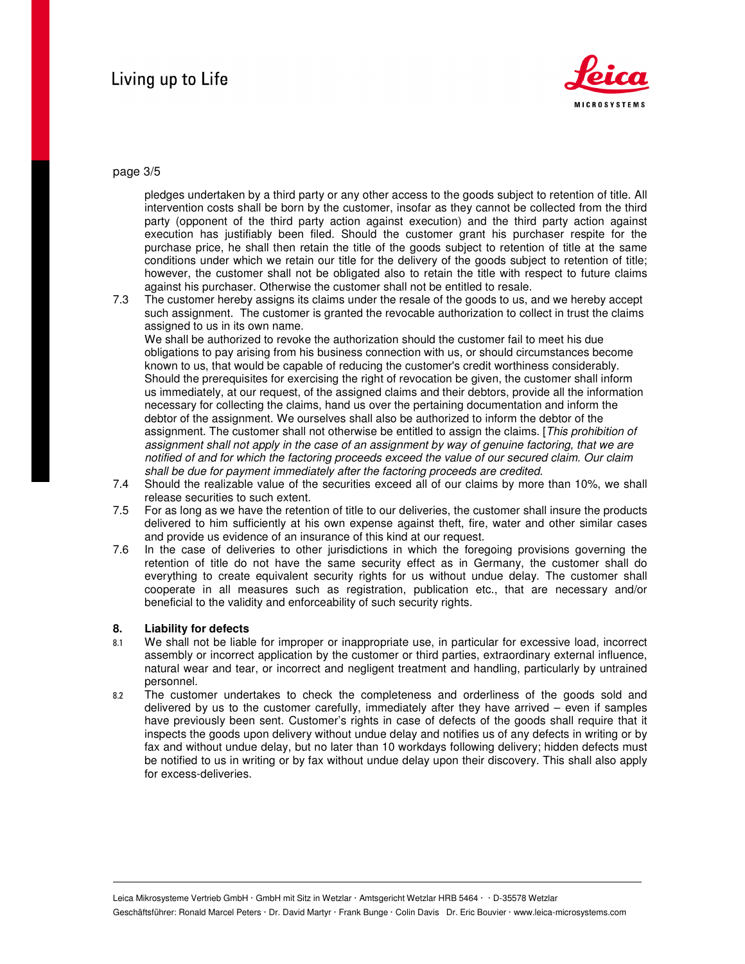

# page 3/5

pledges undertaken by a third party or any other access to the goods subject to retention of title. All intervention costs shall be born by the customer, insofar as they cannot be collected from the third party (opponent of the third party action against execution) and the third party action against execution has justifiably been filed. Should the customer grant his purchaser respite for the purchase price, he shall then retain the title of the goods subject to retention of title at the same conditions under which we retain our title for the delivery of the goods subject to retention of title; however, the customer shall not be obligated also to retain the title with respect to future claims against his purchaser. Otherwise the customer shall not be entitled to resale.

7.3 The customer hereby assigns its claims under the resale of the goods to us, and we hereby accept such assignment. The customer is granted the revocable authorization to collect in trust the claims assigned to us in its own name.

We shall be authorized to revoke the authorization should the customer fail to meet his due obligations to pay arising from his business connection with us, or should circumstances become known to us, that would be capable of reducing the customer's credit worthiness considerably. Should the prerequisites for exercising the right of revocation be given, the customer shall inform us immediately, at our request, of the assigned claims and their debtors, provide all the information necessary for collecting the claims, hand us over the pertaining documentation and inform the debtor of the assignment. We ourselves shall also be authorized to inform the debtor of the assignment. The customer shall not otherwise be entitled to assign the claims. [This prohibition of assignment shall not apply in the case of an assignment by way of genuine factoring, that we are notified of and for which the factoring proceeds exceed the value of our secured claim. Our claim shall be due for payment immediately after the factoring proceeds are credited.

- 7.4 Should the realizable value of the securities exceed all of our claims by more than 10%, we shall release securities to such extent.
- 7.5 For as long as we have the retention of title to our deliveries, the customer shall insure the products delivered to him sufficiently at his own expense against theft, fire, water and other similar cases and provide us evidence of an insurance of this kind at our request.
- 7.6 In the case of deliveries to other jurisdictions in which the foregoing provisions governing the retention of title do not have the same security effect as in Germany, the customer shall do everything to create equivalent security rights for us without undue delay. The customer shall cooperate in all measures such as registration, publication etc., that are necessary and/or beneficial to the validity and enforceability of such security rights.

### **8. Liability for defects**

- 8.1 We shall not be liable for improper or inappropriate use, in particular for excessive load, incorrect assembly or incorrect application by the customer or third parties, extraordinary external influence, natural wear and tear, or incorrect and negligent treatment and handling, particularly by untrained personnel.
- 8.2 The customer undertakes to check the completeness and orderliness of the goods sold and delivered by us to the customer carefully, immediately after they have arrived – even if samples have previously been sent. Customer's rights in case of defects of the goods shall require that it inspects the goods upon delivery without undue delay and notifies us of any defects in writing or by fax and without undue delay, but no later than 10 workdays following delivery; hidden defects must be notified to us in writing or by fax without undue delay upon their discovery. This shall also apply for excess-deliveries.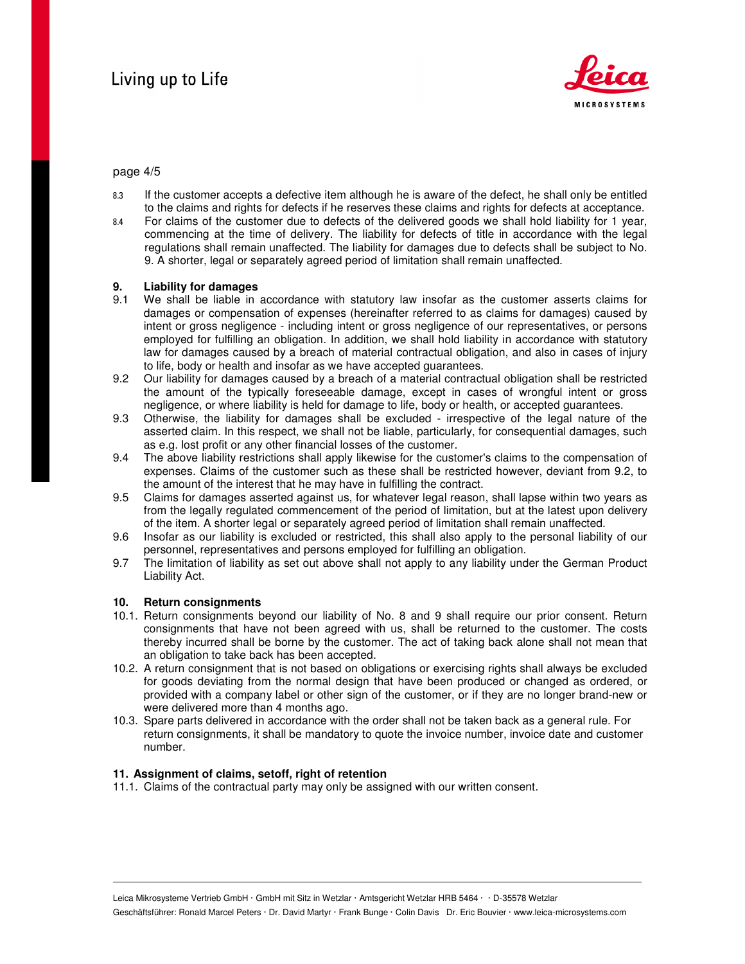

# page 4/5

- 8.3 If the customer accepts a defective item although he is aware of the defect, he shall only be entitled to the claims and rights for defects if he reserves these claims and rights for defects at acceptance.
- 8.4 For claims of the customer due to defects of the delivered goods we shall hold liability for 1 year, commencing at the time of delivery. The liability for defects of title in accordance with the legal regulations shall remain unaffected. The liability for damages due to defects shall be subject to No. 9. A shorter, legal or separately agreed period of limitation shall remain unaffected.

# **9.** Liability for damages **9.1** We shall be liable in

- We shall be liable in accordance with statutory law insofar as the customer asserts claims for damages or compensation of expenses (hereinafter referred to as claims for damages) caused by intent or gross negligence - including intent or gross negligence of our representatives, or persons employed for fulfilling an obligation. In addition, we shall hold liability in accordance with statutory law for damages caused by a breach of material contractual obligation, and also in cases of injury to life, body or health and insofar as we have accepted guarantees.
- 9.2 Our liability for damages caused by a breach of a material contractual obligation shall be restricted the amount of the typically foreseeable damage, except in cases of wrongful intent or gross negligence, or where liability is held for damage to life, body or health, or accepted guarantees.
- 9.3 Otherwise, the liability for damages shall be excluded irrespective of the legal nature of the asserted claim. In this respect, we shall not be liable, particularly, for consequential damages, such as e.g. lost profit or any other financial losses of the customer.
- 9.4 The above liability restrictions shall apply likewise for the customer's claims to the compensation of expenses. Claims of the customer such as these shall be restricted however, deviant from 9.2, to the amount of the interest that he may have in fulfilling the contract.
- 9.5 Claims for damages asserted against us, for whatever legal reason, shall lapse within two years as from the legally regulated commencement of the period of limitation, but at the latest upon delivery of the item. A shorter legal or separately agreed period of limitation shall remain unaffected.
- 9.6 Insofar as our liability is excluded or restricted, this shall also apply to the personal liability of our personnel, representatives and persons employed for fulfilling an obligation.
- 9.7 The limitation of liability as set out above shall not apply to any liability under the German Product Liability Act.

### **10. Return consignments**

- 10.1. Return consignments beyond our liability of No. 8 and 9 shall require our prior consent. Return consignments that have not been agreed with us, shall be returned to the customer. The costs thereby incurred shall be borne by the customer. The act of taking back alone shall not mean that an obligation to take back has been accepted.
- 10.2. A return consignment that is not based on obligations or exercising rights shall always be excluded for goods deviating from the normal design that have been produced or changed as ordered, or provided with a company label or other sign of the customer, or if they are no longer brand-new or were delivered more than 4 months ago.
- 10.3. Spare parts delivered in accordance with the order shall not be taken back as a general rule. For return consignments, it shall be mandatory to quote the invoice number, invoice date and customer number.

### **11. Assignment of claims, setoff, right of retention**

11.1. Claims of the contractual party may only be assigned with our written consent.